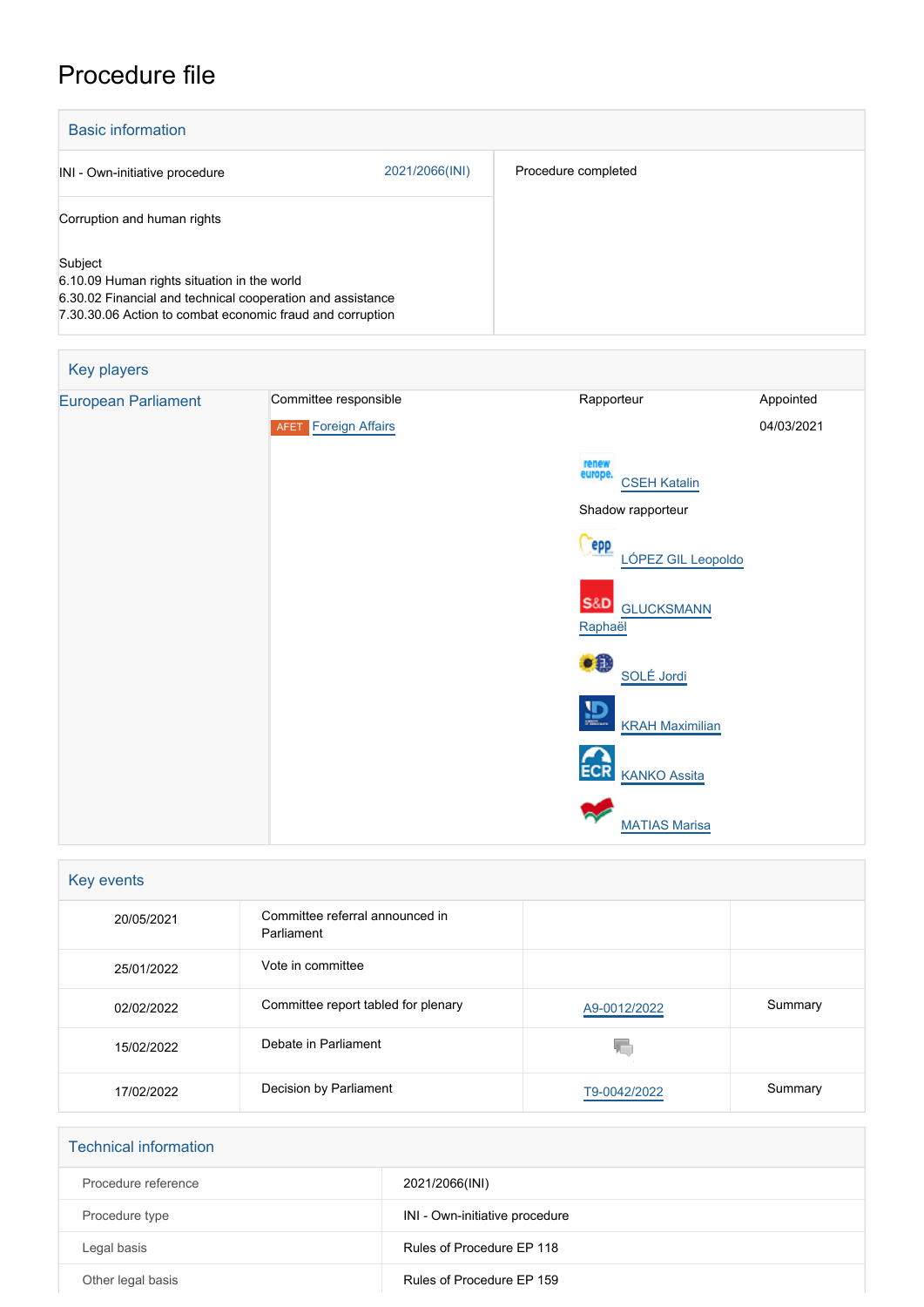# Procedure file

| <b>Basic information</b>                                                                                                                                                          |                |                     |
|-----------------------------------------------------------------------------------------------------------------------------------------------------------------------------------|----------------|---------------------|
| INI - Own-initiative procedure                                                                                                                                                    | 2021/2066(INI) | Procedure completed |
| Corruption and human rights                                                                                                                                                       |                |                     |
| Subject<br>6.10.09 Human rights situation in the world<br>6.30.02 Financial and technical cooperation and assistance<br>7.30.30.06 Action to combat economic fraud and corruption |                |                     |

| Key players                |                                                      |                                                |                         |
|----------------------------|------------------------------------------------------|------------------------------------------------|-------------------------|
| <b>European Parliament</b> | Committee responsible<br><b>AFET</b> Foreign Affairs | Rapporteur                                     | Appointed<br>04/03/2021 |
|                            |                                                      | renew<br>europe.<br><b>CSEH Katalin</b>        |                         |
|                            |                                                      | Shadow rapporteur                              |                         |
|                            |                                                      | epp<br>LÓPEZ GIL Leopoldo                      |                         |
|                            |                                                      | <b>S&amp;D</b><br><b>GLUCKSMANN</b><br>Raphaël |                         |
|                            |                                                      | <b>.8</b><br>SOLÉ Jordi                        |                         |
|                            |                                                      | $\mathbf{D}$<br><b>KRAH Maximilian</b>         |                         |
|                            |                                                      | <b>ECR</b><br><b>KANKO Assita</b>              |                         |
|                            |                                                      | <b>MATIAS Marisa</b>                           |                         |

| Key events |                                               |              |         |
|------------|-----------------------------------------------|--------------|---------|
| 20/05/2021 | Committee referral announced in<br>Parliament |              |         |
| 25/01/2022 | Vote in committee                             |              |         |
| 02/02/2022 | Committee report tabled for plenary           | A9-0012/2022 | Summary |
| 15/02/2022 | Debate in Parliament                          | W.           |         |
| 17/02/2022 | Decision by Parliament                        | T9-0042/2022 | Summary |

| <b>Technical information</b> |                                |
|------------------------------|--------------------------------|
| Procedure reference          | 2021/2066(INI)                 |
| Procedure type               | INI - Own-initiative procedure |
| Legal basis                  | Rules of Procedure EP 118      |
| Other legal basis            | Rules of Procedure EP 159      |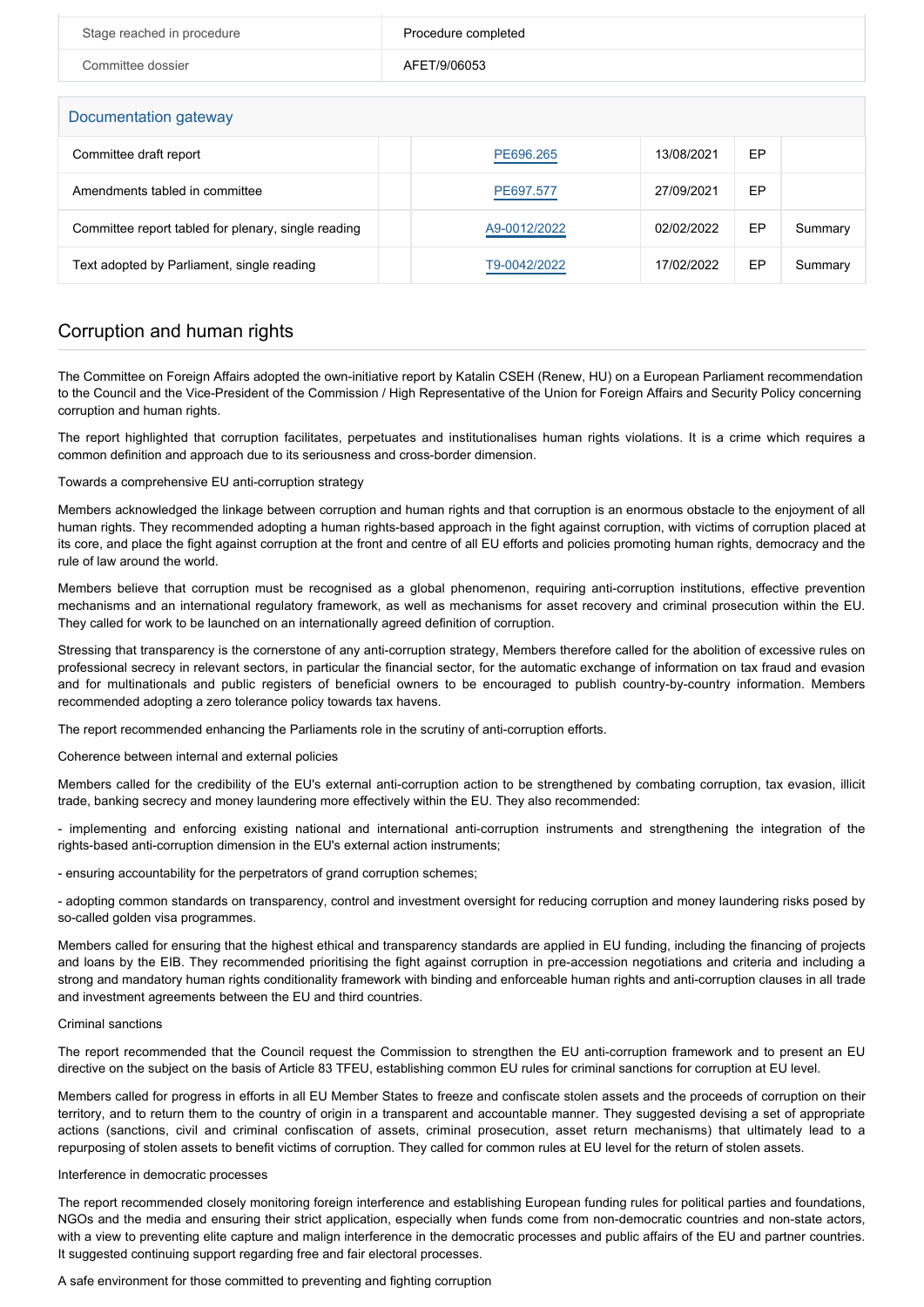| Stage reached in procedure | Procedure completed |
|----------------------------|---------------------|
| Committee dossier          | AFET/9/06053        |

# Documentation gateway

| <u>Boodmondedii galoway</u>                         |              |            |    |         |
|-----------------------------------------------------|--------------|------------|----|---------|
| Committee draft report                              | PE696.265    | 13/08/2021 | EP |         |
| Amendments tabled in committee                      | PE697.577    | 27/09/2021 | EP |         |
| Committee report tabled for plenary, single reading | A9-0012/2022 | 02/02/2022 | EP | Summary |
| Text adopted by Parliament, single reading          | T9-0042/2022 | 17/02/2022 | EP | Summary |

# Corruption and human rights

The Committee on Foreign Affairs adopted the own-initiative report by Katalin CSEH (Renew, HU) on a European Parliament recommendation to the Council and the Vice-President of the Commission / High Representative of the Union for Foreign Affairs and Security Policy concerning corruption and human rights.

The report highlighted that corruption facilitates, perpetuates and institutionalises human rights violations. It is a crime which requires a common definition and approach due to its seriousness and cross-border dimension.

### Towards a comprehensive EU anti-corruption strategy

Members acknowledged the linkage between corruption and human rights and that corruption is an enormous obstacle to the enjoyment of all human rights. They recommended adopting a human rights-based approach in the fight against corruption, with victims of corruption placed at its core, and place the fight against corruption at the front and centre of all EU efforts and policies promoting human rights, democracy and the rule of law around the world.

Members believe that corruption must be recognised as a global phenomenon, requiring anti-corruption institutions, effective prevention mechanisms and an international regulatory framework, as well as mechanisms for asset recovery and criminal prosecution within the EU. They called for work to be launched on an internationally agreed definition of corruption.

Stressing that transparency is the cornerstone of any anti-corruption strategy, Members therefore called for the abolition of excessive rules on professional secrecy in relevant sectors, in particular the financial sector, for the automatic exchange of information on tax fraud and evasion and for multinationals and public registers of beneficial owners to be encouraged to publish country-by-country information. Members recommended adopting a zero tolerance policy towards tax havens.

The report recommended enhancing the Parliaments role in the scrutiny of anti-corruption efforts.

# Coherence between internal and external policies

Members called for the credibility of the EU's external anti-corruption action to be strengthened by combating corruption, tax evasion, illicit trade, banking secrecy and money laundering more effectively within the EU. They also recommended:

- implementing and enforcing existing national and international anti-corruption instruments and strengthening the integration of the rights-based anti-corruption dimension in the EU's external action instruments;

- ensuring accountability for the perpetrators of grand corruption schemes;

- adopting common standards on transparency, control and investment oversight for reducing corruption and money laundering risks posed by so-called golden visa programmes.

Members called for ensuring that the highest ethical and transparency standards are applied in EU funding, including the financing of projects and loans by the EIB. They recommended prioritising the fight against corruption in pre-accession negotiations and criteria and including a strong and mandatory human rights conditionality framework with binding and enforceable human rights and anti-corruption clauses in all trade and investment agreements between the EU and third countries.

#### Criminal sanctions

The report recommended that the Council request the Commission to strengthen the EU anti-corruption framework and to present an EU directive on the subject on the basis of Article 83 TFEU, establishing common EU rules for criminal sanctions for corruption at EU level.

Members called for progress in efforts in all EU Member States to freeze and confiscate stolen assets and the proceeds of corruption on their territory, and to return them to the country of origin in a transparent and accountable manner. They suggested devising a set of appropriate actions (sanctions, civil and criminal confiscation of assets, criminal prosecution, asset return mechanisms) that ultimately lead to a repurposing of stolen assets to benefit victims of corruption. They called for common rules at EU level for the return of stolen assets.

### Interference in democratic processes

The report recommended closely monitoring foreign interference and establishing European funding rules for political parties and foundations, NGOs and the media and ensuring their strict application, especially when funds come from non-democratic countries and non-state actors, with a view to preventing elite capture and malign interference in the democratic processes and public affairs of the EU and partner countries. It suggested continuing support regarding free and fair electoral processes.

A safe environment for those committed to preventing and fighting corruption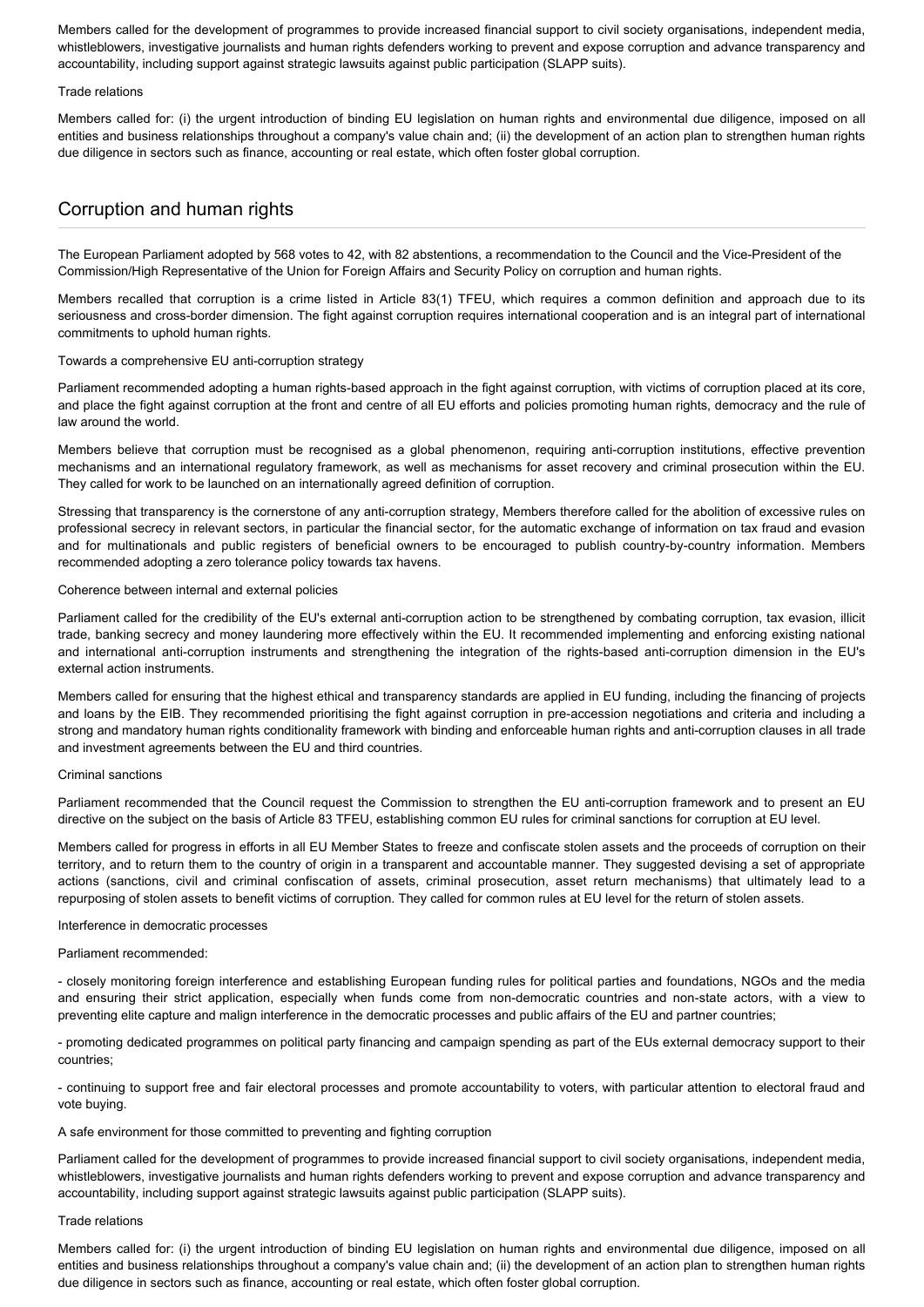Members called for the development of programmes to provide increased financial support to civil society organisations, independent media, whistleblowers, investigative journalists and human rights defenders working to prevent and expose corruption and advance transparency and accountability, including support against strategic lawsuits against public participation (SLAPP suits).

### Trade relations

Members called for: (i) the urgent introduction of binding EU legislation on human rights and environmental due diligence, imposed on all entities and business relationships throughout a company's value chain and; (ii) the development of an action plan to strengthen human rights due diligence in sectors such as finance, accounting or real estate, which often foster global corruption.

# Corruption and human rights

The European Parliament adopted by 568 votes to 42, with 82 abstentions, a recommendation to the Council and the Vice-President of the Commission/High Representative of the Union for Foreign Affairs and Security Policy on corruption and human rights.

Members recalled that corruption is a crime listed in Article 83(1) TFEU, which requires a common definition and approach due to its seriousness and cross-border dimension. The fight against corruption requires international cooperation and is an integral part of international commitments to uphold human rights.

# Towards a comprehensive EU anti-corruption strategy

Parliament recommended adopting a human rights-based approach in the fight against corruption, with victims of corruption placed at its core. and place the fight against corruption at the front and centre of all EU efforts and policies promoting human rights, democracy and the rule of law around the world.

Members believe that corruption must be recognised as a global phenomenon, requiring anti-corruption institutions, effective prevention mechanisms and an international regulatory framework, as well as mechanisms for asset recovery and criminal prosecution within the EU. They called for work to be launched on an internationally agreed definition of corruption.

Stressing that transparency is the cornerstone of any anti-corruption strategy, Members therefore called for the abolition of excessive rules on professional secrecy in relevant sectors, in particular the financial sector, for the automatic exchange of information on tax fraud and evasion and for multinationals and public registers of beneficial owners to be encouraged to publish country-by-country information. Members recommended adopting a zero tolerance policy towards tax havens.

# Coherence between internal and external policies

Parliament called for the credibility of the EU's external anti-corruption action to be strengthened by combating corruption, tax evasion, illicit trade, banking secrecy and money laundering more effectively within the EU. It recommended implementing and enforcing existing national and international anti-corruption instruments and strengthening the integration of the rights-based anti-corruption dimension in the EU's external action instruments.

Members called for ensuring that the highest ethical and transparency standards are applied in EU funding, including the financing of projects and loans by the EIB. They recommended prioritising the fight against corruption in pre-accession negotiations and criteria and including a strong and mandatory human rights conditionality framework with binding and enforceable human rights and anti-corruption clauses in all trade and investment agreements between the EU and third countries.

# Criminal sanctions

Parliament recommended that the Council request the Commission to strengthen the EU anti-corruption framework and to present an EU directive on the subject on the basis of Article 83 TFEU, establishing common EU rules for criminal sanctions for corruption at EU level.

Members called for progress in efforts in all EU Member States to freeze and confiscate stolen assets and the proceeds of corruption on their territory, and to return them to the country of origin in a transparent and accountable manner. They suggested devising a set of appropriate actions (sanctions, civil and criminal confiscation of assets, criminal prosecution, asset return mechanisms) that ultimately lead to a repurposing of stolen assets to benefit victims of corruption. They called for common rules at EU level for the return of stolen assets.

# Interference in democratic processes

Parliament recommended:

- closely monitoring foreign interference and establishing European funding rules for political parties and foundations, NGOs and the media and ensuring their strict application, especially when funds come from non-democratic countries and non-state actors, with a view to preventing elite capture and malign interference in the democratic processes and public affairs of the EU and partner countries;

- promoting dedicated programmes on political party financing and campaign spending as part of the EUs external democracy support to their countries;

- continuing to support free and fair electoral processes and promote accountability to voters, with particular attention to electoral fraud and vote buying.

# A safe environment for those committed to preventing and fighting corruption

Parliament called for the development of programmes to provide increased financial support to civil society organisations, independent media, whistleblowers, investigative journalists and human rights defenders working to prevent and expose corruption and advance transparency and accountability, including support against strategic lawsuits against public participation (SLAPP suits).

#### Trade relations

Members called for: (i) the urgent introduction of binding EU legislation on human rights and environmental due diligence, imposed on all entities and business relationships throughout a company's value chain and; (ii) the development of an action plan to strengthen human rights due diligence in sectors such as finance, accounting or real estate, which often foster global corruption.